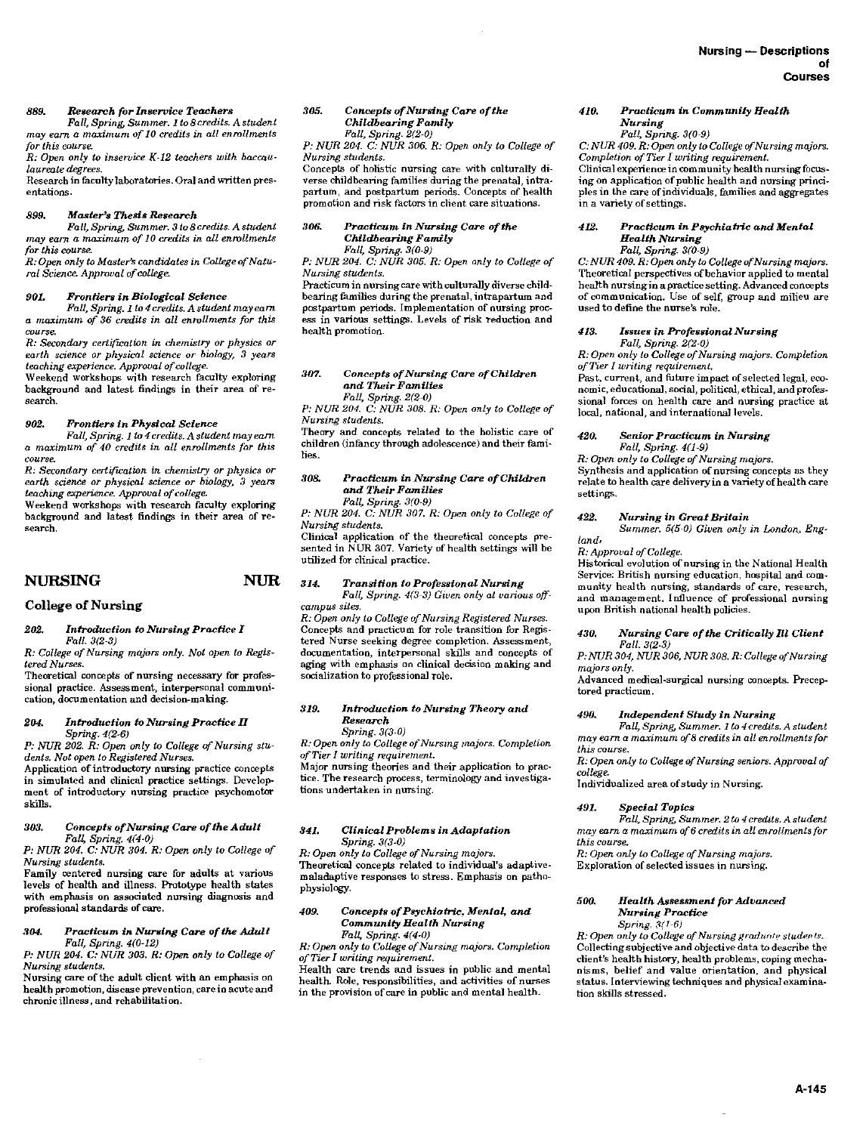# *889. Research for Inservice Teachers*

*Fall, Spring, Summer. 1 to 8 credits. A student may earn a maximum of 10 credits in all enrollments for this course.* 

*R: Open only to inservice K-12 teachers with baccaulaureate degrees.* 

Research in faculty laboratories. Oral and written presentations.

#### *899. Master's Thesis Research*

*Fall, Spring, Summer. 3 to 8 credits. A student may earn a maximum of 10 credits in all enrollments for this course.* 

*R: Open only to Master's candidates in College of Natural Science. Approval of college.* 

#### *901. Frontiers in Biological Science*

*Fall, Spring. 1 to 4 credits. A student may earn a maximum of 36 credits in all enrollments for this course.* 

 $R$ : Secondary certification in chemistry or physics or *earth science or physical science or biology, 3 years teaching experience. Approval of college.* 

Weekend workshops with research faculty exploring background and latest findings in their area of research.

#### *902. Frontiers in Physical Science*

*Fall, Spring. 1 to 4 credits. A student may earn a maximum of 40 credits in all enrollments for this course.* 

*R: Secondary certification in chemistry or physics or earth science or physical science or biology,* 3 *years teaching experience. Approval of college.* 

Weekend workshops with research faculty exploring background and latest findings in their area of research.

# NURSING NUR

# College of Nursing

#### *202. Introduction to Nursing Practice I Fall.* 3(2-3)

*R: College of Nursing majors only. Not open to Registered Nurses.* 

Theoretical concepts of nursing necessary for professional practice. Assessment, interpersonal communi-cation, documentation and decision-making.

## *204. Introduction to Nursing Practice II Spring. 4(2-6)*

*P: NUR 202. R: Open only to College of Nursing students. Not open to Registered Nurses.* 

Application of introductory nursing practice concepts in simulated and clinical practice settings. Develop· ment of introductory nursing practice psychomotor skills.

## *308. Concepts of Nursing Care of the Adult Fall, Spring. 4(4-0)*

*P: NUR 204. C: NUR 304. R: Open only to College of Nursing students.* 

Family centered nursing care for adults at various levels of health and illness. Prototype health states with emphasis on associated nursing diagnosis and professional standards of care.

## *:104. Practicum in Nurlling Care of the Adult Fall, Spring. 4(0-12)*

*P: NUR 204. C: NUR 303. R: Open only to College of Nursing students.* 

Nursing care of the adult client with an emphasis on health promotion, disease prevention, care in acute and chronic illness, and rehabilitation.

#### *305. Concepts of Nursing Care of the Childbearing Family Fall, Spring. 2(2-0)*

P: *NUR 204. C:* NUR *306. R: Open only to College of Nursing students.* 

Concepts of holistic nursing care with culturally di-

verse childbearing families during the prenatal, intrapartum, and postpartum periods. Concepts of health

# *306. Practicum in Nursing Care of the Childbearing Family Fall, Spring. 3{0-9)*

promotion and risk factors in client care situations.

P: *NUR 204. C:* NUR *305.* R: *Open only to College of Nursing students.* 

Practicum in nursing care with culturally diverse childbearing families during the prenatal, intrapartum and postpartum periods. Implementation of nursing process in various settings. Levels of risk reduction and health promotion.

#### *307. Concepts of Nursing Care of Children and Their Families Fall, Spring. 2(2-0)*

*P: NUR 204. C: NUR 308. R: Open only to College of Nursing students.* 

Theory and concepts related to the holistic care of children (infancy through adolescence) and their families.

## *308. Practicum in Nursing Care of Children*  and *Their Families Pall, Spring. 3(0-9)*

*P: NUR 204. C: NUR 307. R: Open only to College of* 

*Nursing students.*  Clinical application of the theoretical concepts pre-

sented in NUR 307. Variety of health settings will be utilized for clinical practice.

# *314. Transition to Professional Nursing*

*Fall, Spring. 4(3-3) Given only at various offcampus sites.* 

*R: Open only to College of Nursing Registered Nurses.*  Concepts and practicum for role transition for Registered Nurse seeking degree completion. Assessment, documentation, interpersonal skills and concepts of aging with emphasis on clinical decision making and socialization to professional role.

# *319. Introduction to Nursing Theory and Research*

*Spring. 3(3-0)* 

*R: Open only to College of Nursing majors. Completion ofTier I writing requirement.* 

Major nursing theories and their application to practice. The research process, terminology and investigations undertaken in nursing.

# *341. Clinical Problems in Adaptation Spring. 3(3-0)*

*R; Open only to College of Nursing majors.*  Theoretical concepts related to individual's adaptivemaladaptive responses to stress. Emphasis on pathophysiology.

## *409. Concepts of Psychiatric\_. Mental,* and *Community Health Nurring Fall, Spring. 4(4-0)*

*R: Open only to College of Nursing majors. Completion ofTier I writing requirement.* 

Health care trends and issues in public and mental health. Role, responsibilities, and activities of nurses in the provision of care in public and mental health.

## *410. Practicum in Community Health Nursing*

# *Fall. Spring. 3(0-9)*

*C: NUR 409. R: Oprn only to College of Nursing majors. Completion of Tier* I *writing requirement.*  Clinical experience in community health nursing focusing on application of public health and nursing principles in the care of individuals, tamilies and aggregates in a variety of settings.

#### *412. Practicum in Psychiatric and Mental Health Nursing Fall, Spring. 3(0-9)*

*C: NUR 409. R: Open only to College of Nursing majors.*  Theoretical perspectives of behavior applied to mental health nursingin a practice setting. Advanced concepts of communication. Use of self, group and milieu are used to define the nurse's role.

# *413. Issues in Professional Nursing*

*Fall, Spring. 2(2-0) R: Open only to College of Nursing majors. Completion of Tier* I *writing requirement.* 

Past, current, and future impact of selected legal, economic, educational, social, political, ethical, and professional forces on health care and nursing practice at local, national, and international levels.

## *420. Senior Practicum in Nursing Fall, Spring. 4(1-9)*

*R: Open only to College of Nursing majors.* 

Synthesis and application of nursing concepts as they relate to health care delivery in a variety of health care settings.

## *422. Nursing in Great Britain*

*Summer. 5(5-0) Given only in London, England,* 

# *R: Approval of College.*

Historical evolution of nursing in the National Health Service: British nursing education, hospital and community health nursing, standards of care, research, and management. Influence of professional nursing upon British national health policies.

#### *430. Nursing Care of the Critically* Rl *Client Fall. 3(2-3)*

*P: NUR 304, NUR 306, NUR 308. R: College of Nursing majors only.* 

Advanced medical-surgical nursing concepts. Preceptored practicum.

#### *490. Independent Study in Nursing*

*Fall, Spring, Summer. 1 to 4 credits. A student may earn a maxinmm of8 credits in all enrollments for this course.* 

*R: Open only to College of Nursing seniors. Approval of college.* 

Individualized area of study in Nursing.

#### *491. Special Topics*

*Fall, Spring, Summer. 2 to 4 credits. A student may earn a maximum of6 credits in all enrollments for this course.* 

*R: Open only to College of Nursing majors.* 

Exploration of selected issues in nursing.

#### *500. Health Assessment for Advanced Nursing Practice*  Spring,  $3(1-6)$

*R: Open only to College of Nursing graduate students.* Collecting subjective and objective data to describe the client's health history, health problems, coping mechanisms, belief and value orientation, and physical status. Interviewing techniques and physical examination skills stressed.